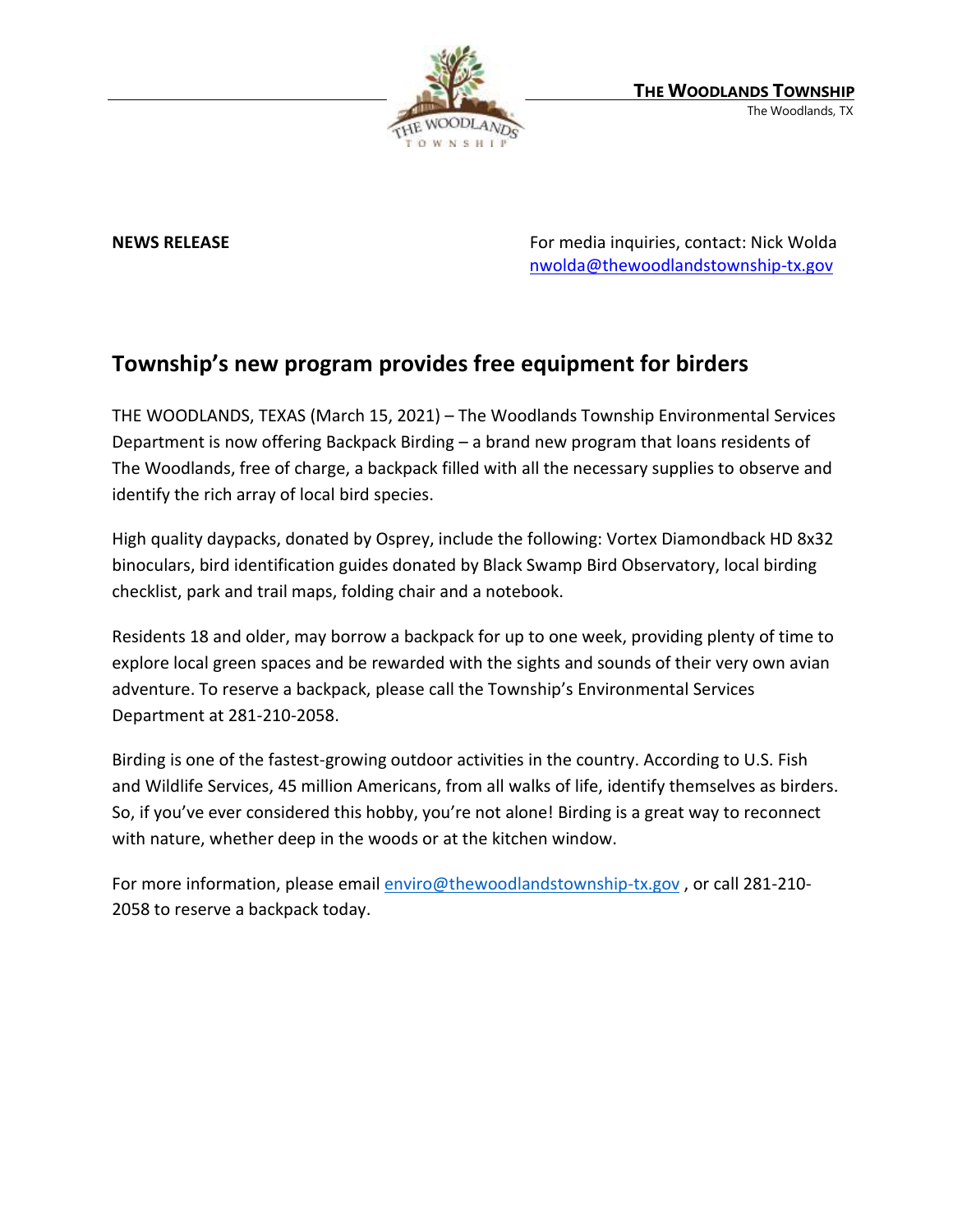

**NEWS RELEASE** For media inquiries, contact: Nick Wolda **NEWS** RELEASE [nwolda@thewoodlandstownship-tx.gov](mailto:nwolda@thewoodlandstownship-tx.gov)

## **Township's new program provides free equipment for birders**

THE WOODLANDS, TEXAS (March 15, 2021) – The Woodlands Township Environmental Services Department is now offering Backpack Birding – a brand new program that loans residents of The Woodlands, free of charge, a backpack filled with all the necessary supplies to observe and identify the rich array of local bird species.

High quality daypacks, donated by Osprey, include the following: Vortex Diamondback HD 8x32 binoculars, bird identification guides donated by Black Swamp Bird Observatory, local birding checklist, park and trail maps, folding chair and a notebook.

Residents 18 and older, may borrow a backpack for up to one week, providing plenty of time to explore local green spaces and be rewarded with the sights and sounds of their very own avian adventure. To reserve a backpack, please call the Township's Environmental Services Department at 281-210-2058.

Birding is one of the fastest-growing outdoor activities in the country. According to U.S. Fish and Wildlife Services, 45 million Americans, from all walks of life, identify themselves as birders. So, if you've ever considered this hobby, you're not alone! Birding is a great way to reconnect with nature, whether deep in the woods or at the kitchen window.

For more information, please email [enviro@thewoodlandstownship-tx.gov](mailto:enviro@thewoodlandstownship-tx.gov) , or call 281-210- 2058 to reserve a backpack today.